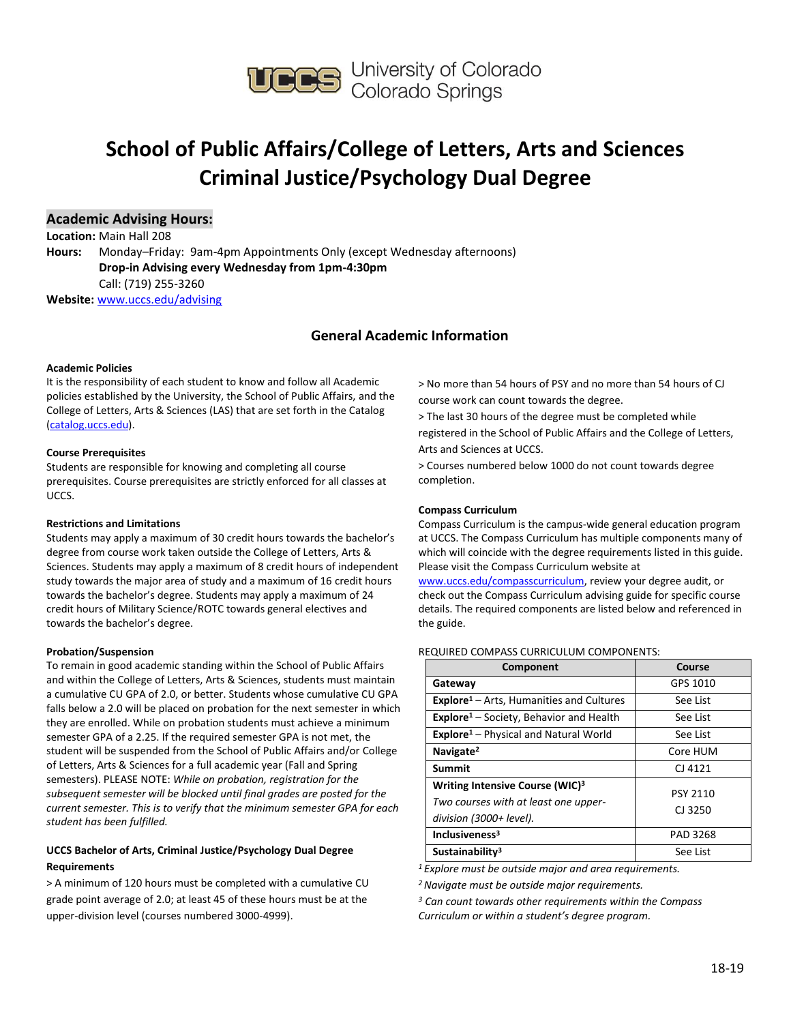

## **School of Public Affairs/College of Letters, Arts and Sciences Criminal Justice/Psychology Dual Degree**

#### **Academic Advising Hours:**

**Location:** Main Hall 208 **Hours:** Monday–Friday: 9am-4pm Appointments Only (except Wednesday afternoons) **Drop-in Advising every Wednesday from 1pm-4:30pm**  Call: (719) 255-3260 **Website:** [www.uccs.edu/advising](http://www.uccs.edu/advising)

### **General Academic Information**

#### **Academic Policies**

It is the responsibility of each student to know and follow all Academic policies established by the University, the School of Public Affairs, and the College of Letters, Arts & Sciences (LAS) that are set forth in the Catalog [\(catalog.uccs.edu\)](http://catalog.uccs.edu/).

#### **Course Prerequisites**

Students are responsible for knowing and completing all course prerequisites. Course prerequisites are strictly enforced for all classes at UCCS.

#### **Restrictions and Limitations**

Students may apply a maximum of 30 credit hours towards the bachelor's degree from course work taken outside the College of Letters, Arts & Sciences. Students may apply a maximum of 8 credit hours of independent study towards the major area of study and a maximum of 16 credit hours towards the bachelor's degree. Students may apply a maximum of 24 credit hours of Military Science/ROTC towards general electives and towards the bachelor's degree.

#### **Probation/Suspension**

To remain in good academic standing within the School of Public Affairs and within the College of Letters, Arts & Sciences, students must maintain a cumulative CU GPA of 2.0, or better. Students whose cumulative CU GPA falls below a 2.0 will be placed on probation for the next semester in which they are enrolled. While on probation students must achieve a minimum semester GPA of a 2.25. If the required semester GPA is not met, the student will be suspended from the School of Public Affairs and/or College of Letters, Arts & Sciences for a full academic year (Fall and Spring semesters). PLEASE NOTE: *While on probation, registration for the subsequent semester will be blocked until final grades are posted for the current semester. This is to verify that the minimum semester GPA for each student has been fulfilled.*

#### **UCCS Bachelor of Arts, Criminal Justice/Psychology Dual Degree Requirements**

> A minimum of 120 hours must be completed with a cumulative CU grade point average of 2.0; at least 45 of these hours must be at the upper-division level (courses numbered 3000-4999).

> No more than 54 hours of PSY and no more than 54 hours of CJ course work can count towards the degree.

> The last 30 hours of the degree must be completed while registered in the School of Public Affairs and the College of Letters, Arts and Sciences at UCCS.

> Courses numbered below 1000 do not count towards degree completion.

#### **Compass Curriculum**

Compass Curriculum is the campus-wide general education program at UCCS. The Compass Curriculum has multiple components many of which will coincide with the degree requirements listed in this guide. Please visit the Compass Curriculum website at

[www.uccs.edu/compasscurriculum,](http://www.uccs.edu/compasscurriculum) review your degree audit, or check out the Compass Curriculum advising guide for specific course details. The required components are listed below and referenced in the guide.

#### REQUIRED COMPASS CURRICULUM COMPONENTS:

| Component                                                                                                      | Course                     |
|----------------------------------------------------------------------------------------------------------------|----------------------------|
| Gateway                                                                                                        | GPS 1010                   |
| <b>Explore</b> <sup>1</sup> – Arts, Humanities and Cultures                                                    | See List                   |
| <b>Explore</b> <sup>1</sup> – Society, Behavior and Health                                                     | See List                   |
| <b>Explore</b> <sup>1</sup> – Physical and Natural World                                                       | See List                   |
| Navigate <sup>2</sup>                                                                                          | Core HUM                   |
| <b>Summit</b>                                                                                                  | CJ 4121                    |
| Writing Intensive Course (WIC) <sup>3</sup><br>Two courses with at least one upper-<br>division (3000+ level). | <b>PSY 2110</b><br>CJ 3250 |
| Inclusiveness <sup>3</sup>                                                                                     | PAD 3268                   |
| Sustainability <sup>3</sup>                                                                                    | See List                   |

*<sup>1</sup>Explore must be outside major and area requirements.*

*<sup>2</sup>Navigate must be outside major requirements.*

*<sup>3</sup> Can count towards other requirements within the Compass Curriculum or within a student's degree program.*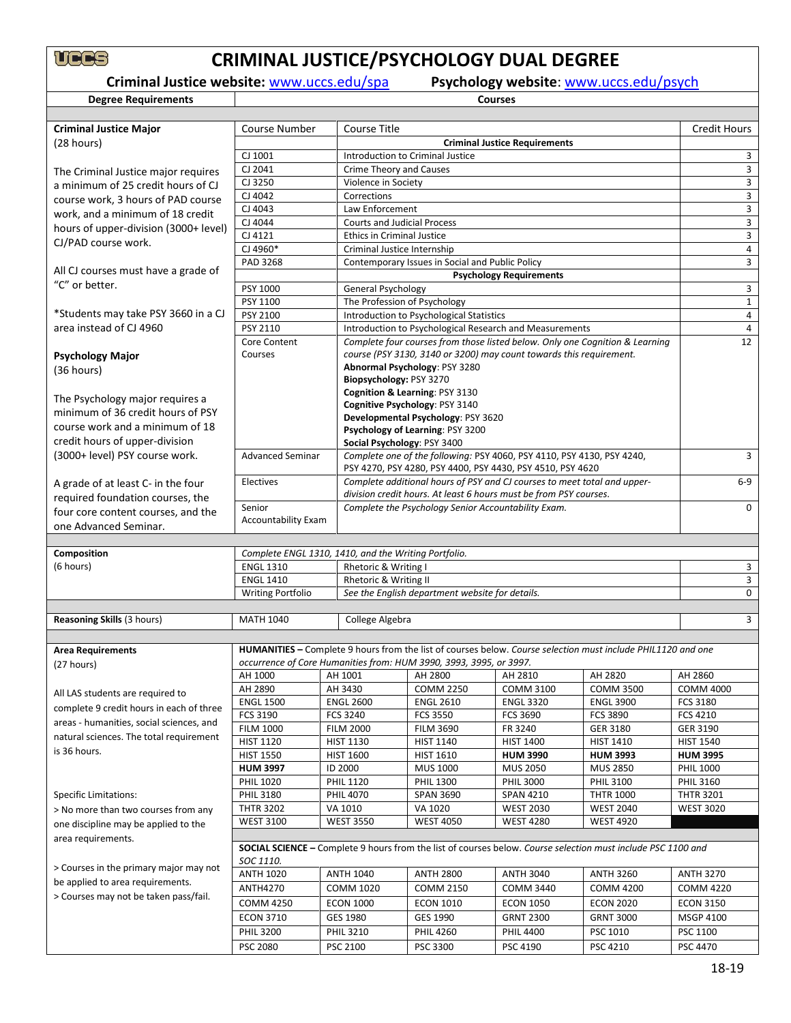# **CRIMINAL JUSTICE/PSYCHOLOGY DUAL DEGREE**<br>Criminal Justice website: www.uccs.edu/spa Psychology website: www.ucc

**Degree Requirements** 

**Psychology website:** [www.uccs.edu/psych](http://www.uccs.edu/psych)ology **courses** 

| <b>Criminal Justice Major</b>            | <b>Course Number</b>                                 | <b>Course Title</b>                                                                                                                           |                                                                                                                                      |                                                                     |                                                                                                              | <b>Credit Hours</b>  |  |  |  |
|------------------------------------------|------------------------------------------------------|-----------------------------------------------------------------------------------------------------------------------------------------------|--------------------------------------------------------------------------------------------------------------------------------------|---------------------------------------------------------------------|--------------------------------------------------------------------------------------------------------------|----------------------|--|--|--|
| (28 hours)                               |                                                      | <b>Criminal Justice Requirements</b>                                                                                                          |                                                                                                                                      |                                                                     |                                                                                                              |                      |  |  |  |
|                                          | CJ 1001                                              | Introduction to Criminal Justice                                                                                                              |                                                                                                                                      |                                                                     |                                                                                                              |                      |  |  |  |
| The Criminal Justice major requires      | CJ 2041                                              | <b>Crime Theory and Causes</b>                                                                                                                |                                                                                                                                      |                                                                     |                                                                                                              |                      |  |  |  |
| a minimum of 25 credit hours of CJ       | CJ 3250                                              | Violence in Society                                                                                                                           |                                                                                                                                      |                                                                     |                                                                                                              | 3                    |  |  |  |
| course work, 3 hours of PAD course       | CJ 4042                                              | Corrections                                                                                                                                   |                                                                                                                                      |                                                                     |                                                                                                              | 3                    |  |  |  |
| work, and a minimum of 18 credit         | CJ 4043                                              | Law Enforcement                                                                                                                               |                                                                                                                                      |                                                                     |                                                                                                              | 3                    |  |  |  |
| hours of upper-division (3000+ level)    | CJ 4044                                              | <b>Courts and Judicial Process</b>                                                                                                            |                                                                                                                                      |                                                                     |                                                                                                              | 3                    |  |  |  |
| CJ/PAD course work.                      | CJ 4121                                              | <b>Ethics in Criminal Justice</b>                                                                                                             |                                                                                                                                      |                                                                     |                                                                                                              | 3                    |  |  |  |
|                                          | CJ 4960*                                             | Criminal Justice Internship                                                                                                                   |                                                                                                                                      |                                                                     |                                                                                                              | 4                    |  |  |  |
|                                          | PAD 3268                                             |                                                                                                                                               | Contemporary Issues in Social and Public Policy                                                                                      |                                                                     |                                                                                                              | 3                    |  |  |  |
| All CJ courses must have a grade of      |                                                      |                                                                                                                                               |                                                                                                                                      | <b>Psychology Requirements</b>                                      |                                                                                                              |                      |  |  |  |
| "C" or better.                           | <b>PSY 1000</b>                                      | <b>General Psychology</b>                                                                                                                     |                                                                                                                                      |                                                                     |                                                                                                              | 3                    |  |  |  |
|                                          | PSY 1100                                             |                                                                                                                                               | The Profession of Psychology                                                                                                         |                                                                     |                                                                                                              | $\mathbf{1}$         |  |  |  |
| *Students may take PSY 3660 in a CJ      | PSY 2100                                             |                                                                                                                                               | Introduction to Psychological Statistics                                                                                             |                                                                     |                                                                                                              | 4                    |  |  |  |
| area instead of CJ 4960                  | PSY 2110                                             |                                                                                                                                               |                                                                                                                                      | Introduction to Psychological Research and Measurements             |                                                                                                              | $\overline{4}$       |  |  |  |
|                                          | Core Content                                         |                                                                                                                                               |                                                                                                                                      |                                                                     | Complete four courses from those listed below. Only one Cognition & Learning                                 | 12                   |  |  |  |
| <b>Psychology Major</b>                  | Courses                                              |                                                                                                                                               |                                                                                                                                      | course (PSY 3130, 3140 or 3200) may count towards this requirement. |                                                                                                              |                      |  |  |  |
| (36 hours)                               |                                                      |                                                                                                                                               | Abnormal Psychology: PSY 3280                                                                                                        |                                                                     |                                                                                                              |                      |  |  |  |
|                                          |                                                      | Biopsychology: PSY 3270                                                                                                                       |                                                                                                                                      |                                                                     |                                                                                                              |                      |  |  |  |
| The Psychology major requires a          |                                                      |                                                                                                                                               | Cognition & Learning: PSY 3130                                                                                                       |                                                                     |                                                                                                              |                      |  |  |  |
| minimum of 36 credit hours of PSY        |                                                      |                                                                                                                                               | Cognitive Psychology: PSY 3140                                                                                                       |                                                                     |                                                                                                              |                      |  |  |  |
| course work and a minimum of 18          |                                                      |                                                                                                                                               | Developmental Psychology: PSY 3620                                                                                                   |                                                                     |                                                                                                              |                      |  |  |  |
| credit hours of upper-division           |                                                      |                                                                                                                                               | Psychology of Learning: PSY 3200                                                                                                     |                                                                     |                                                                                                              |                      |  |  |  |
|                                          | <b>Advanced Seminar</b>                              |                                                                                                                                               | Social Psychology: PSY 3400                                                                                                          |                                                                     |                                                                                                              | 3                    |  |  |  |
| (3000+ level) PSY course work.           |                                                      |                                                                                                                                               | Complete one of the following: PSY 4060, PSY 4110, PSY 4130, PSY 4240,<br>PSY 4270, PSY 4280, PSY 4400, PSY 4430, PSY 4510, PSY 4620 |                                                                     |                                                                                                              |                      |  |  |  |
|                                          | Electives                                            |                                                                                                                                               |                                                                                                                                      |                                                                     | $6-9$                                                                                                        |                      |  |  |  |
| A grade of at least C- in the four       |                                                      | Complete additional hours of PSY and CJ courses to meet total and upper-<br>division credit hours. At least 6 hours must be from PSY courses. |                                                                                                                                      |                                                                     |                                                                                                              |                      |  |  |  |
| required foundation courses, the         | Senior                                               |                                                                                                                                               | Complete the Psychology Senior Accountability Exam.                                                                                  |                                                                     |                                                                                                              |                      |  |  |  |
| four core content courses, and the       | <b>Accountability Exam</b>                           |                                                                                                                                               |                                                                                                                                      |                                                                     |                                                                                                              |                      |  |  |  |
| one Advanced Seminar.                    |                                                      |                                                                                                                                               |                                                                                                                                      |                                                                     |                                                                                                              |                      |  |  |  |
|                                          |                                                      |                                                                                                                                               |                                                                                                                                      |                                                                     |                                                                                                              |                      |  |  |  |
| Composition                              | Complete ENGL 1310, 1410, and the Writing Portfolio. |                                                                                                                                               |                                                                                                                                      |                                                                     |                                                                                                              |                      |  |  |  |
| (6 hours)                                | <b>ENGL 1310</b>                                     | Rhetoric & Writing I                                                                                                                          |                                                                                                                                      |                                                                     |                                                                                                              | 3                    |  |  |  |
|                                          | <b>ENGL 1410</b>                                     | Rhetoric & Writing II                                                                                                                         |                                                                                                                                      |                                                                     |                                                                                                              | 3<br>$\mathbf 0$     |  |  |  |
|                                          | <b>Writing Portfolio</b>                             |                                                                                                                                               | See the English department website for details.                                                                                      |                                                                     |                                                                                                              |                      |  |  |  |
| Reasoning Skills (3 hours)               | <b>MATH 1040</b>                                     | College Algebra                                                                                                                               |                                                                                                                                      |                                                                     |                                                                                                              | 3                    |  |  |  |
|                                          |                                                      |                                                                                                                                               |                                                                                                                                      |                                                                     |                                                                                                              |                      |  |  |  |
| <b>Area Requirements</b>                 |                                                      |                                                                                                                                               |                                                                                                                                      |                                                                     | HUMANITIES - Complete 9 hours from the list of courses below. Course selection must include PHIL1120 and one |                      |  |  |  |
| (27 hours)                               |                                                      |                                                                                                                                               | occurrence of Core Humanities from: HUM 3990, 3993, 3995, or 3997.                                                                   |                                                                     |                                                                                                              |                      |  |  |  |
|                                          | AH 1000                                              | AH 1001                                                                                                                                       | AH 2800                                                                                                                              | AH 2810                                                             | AH 2820                                                                                                      | AH 2860              |  |  |  |
|                                          | AH 2890                                              | AH 3430                                                                                                                                       | <b>COMM 2250</b>                                                                                                                     | <b>COMM 3100</b>                                                    | <b>COMM 3500</b>                                                                                             | <b>COMM 4000</b>     |  |  |  |
| All LAS students are required to         | <b>ENGL 1500</b>                                     | <b>ENGL 2600</b>                                                                                                                              | <b>ENGL 2610</b>                                                                                                                     | <b>ENGL 3320</b>                                                    | <b>ENGL 3900</b>                                                                                             | FCS 3180             |  |  |  |
| complete 9 credit hours in each of three | FCS 3190                                             | <b>FCS 3240</b>                                                                                                                               | <b>FCS 3550</b>                                                                                                                      | FCS 3690                                                            | <b>FCS 3890</b>                                                                                              | FCS 4210             |  |  |  |
| areas - humanities, social sciences, and | <b>FILM 1000</b>                                     | <b>FILM 2000</b>                                                                                                                              | <b>FILM 3690</b>                                                                                                                     | FR 3240                                                             | GER 3180                                                                                                     | GER 3190             |  |  |  |
| natural sciences. The total requirement  | <b>HIST 1120</b>                                     | <b>HIST 1130</b>                                                                                                                              | <b>HIST 1140</b>                                                                                                                     | <b>HIST 1400</b>                                                    | <b>HIST 1410</b>                                                                                             | <b>HIST 1540</b>     |  |  |  |
| is 36 hours.                             | <b>HIST 1550</b>                                     | <b>HIST 1600</b>                                                                                                                              | <b>HIST 1610</b>                                                                                                                     | <b>HUM 3990</b>                                                     | <b>HUM 3993</b>                                                                                              | <b>HUM 3995</b>      |  |  |  |
|                                          | <b>HUM 3997</b>                                      | ID 2000                                                                                                                                       | <b>MUS 1000</b>                                                                                                                      | <b>MUS 2050</b>                                                     | <b>MUS 2850</b>                                                                                              | <b>PHIL 1000</b>     |  |  |  |
|                                          | <b>PHIL 1020</b>                                     | <b>PHIL 1120</b>                                                                                                                              | <b>PHIL 1300</b>                                                                                                                     | <b>PHIL 3000</b>                                                    | PHIL 3100                                                                                                    | PHIL 3160            |  |  |  |
| <b>Specific Limitations:</b>             | <b>PHIL 3180</b>                                     | <b>PHIL 4070</b>                                                                                                                              | <b>SPAN 3690</b>                                                                                                                     | <b>SPAN 4210</b>                                                    | <b>THTR 1000</b>                                                                                             | <b>THTR 3201</b>     |  |  |  |
| > No more than two courses from any      | <b>THTR 3202</b>                                     | VA 1010                                                                                                                                       | VA 1020                                                                                                                              | <b>WEST 2030</b>                                                    | <b>WEST 2040</b>                                                                                             | <b>WEST 3020</b>     |  |  |  |
|                                          | <b>WEST 3100</b>                                     | <b>WEST 3550</b>                                                                                                                              | <b>WEST 4050</b>                                                                                                                     | <b>WEST 4280</b>                                                    | <b>WEST 4920</b>                                                                                             |                      |  |  |  |
| one discipline may be applied to the     |                                                      |                                                                                                                                               |                                                                                                                                      |                                                                     |                                                                                                              |                      |  |  |  |
| area requirements.                       |                                                      | SOCIAL SCIENCE - Complete 9 hours from the list of courses below. Course selection must include PSC 1100 and                                  |                                                                                                                                      |                                                                     |                                                                                                              |                      |  |  |  |
|                                          | SOC 1110.                                            |                                                                                                                                               |                                                                                                                                      |                                                                     |                                                                                                              |                      |  |  |  |
| > Courses in the primary major may not   | <b>ANTH 1020</b>                                     | <b>ANTH 1040</b>                                                                                                                              | <b>ANTH 2800</b>                                                                                                                     | <b>ANTH 3040</b>                                                    | <b>ANTH 3260</b>                                                                                             | <b>ANTH 3270</b>     |  |  |  |
| be applied to area requirements.         | <b>ANTH4270</b>                                      | <b>COMM 1020</b>                                                                                                                              | <b>COMM 2150</b>                                                                                                                     | <b>COMM 3440</b>                                                    | <b>COMM 4200</b>                                                                                             | <b>COMM 4220</b>     |  |  |  |
| > Courses may not be taken pass/fail.    |                                                      |                                                                                                                                               | <b>ECON 1010</b>                                                                                                                     | <b>ECON 1050</b>                                                    | <b>ECON 2020</b>                                                                                             | <b>ECON 3150</b>     |  |  |  |
|                                          |                                                      |                                                                                                                                               |                                                                                                                                      |                                                                     |                                                                                                              |                      |  |  |  |
|                                          | <b>COMM 4250</b>                                     | <b>ECON 1000</b>                                                                                                                              |                                                                                                                                      |                                                                     |                                                                                                              |                      |  |  |  |
|                                          | <b>ECON 3710</b>                                     | GES 1980                                                                                                                                      | GES 1990                                                                                                                             | <b>GRNT 2300</b>                                                    | <b>GRNT 3000</b>                                                                                             | <b>MSGP 4100</b>     |  |  |  |
|                                          | PHIL 3200<br>PSC 2080                                | <b>PHIL 3210</b><br>PSC 2100                                                                                                                  | <b>PHIL 4260</b><br>PSC 3300                                                                                                         | <b>PHIL 4400</b><br>PSC 4190                                        | PSC 1010<br>PSC 4210                                                                                         | PSC 1100<br>PSC 4470 |  |  |  |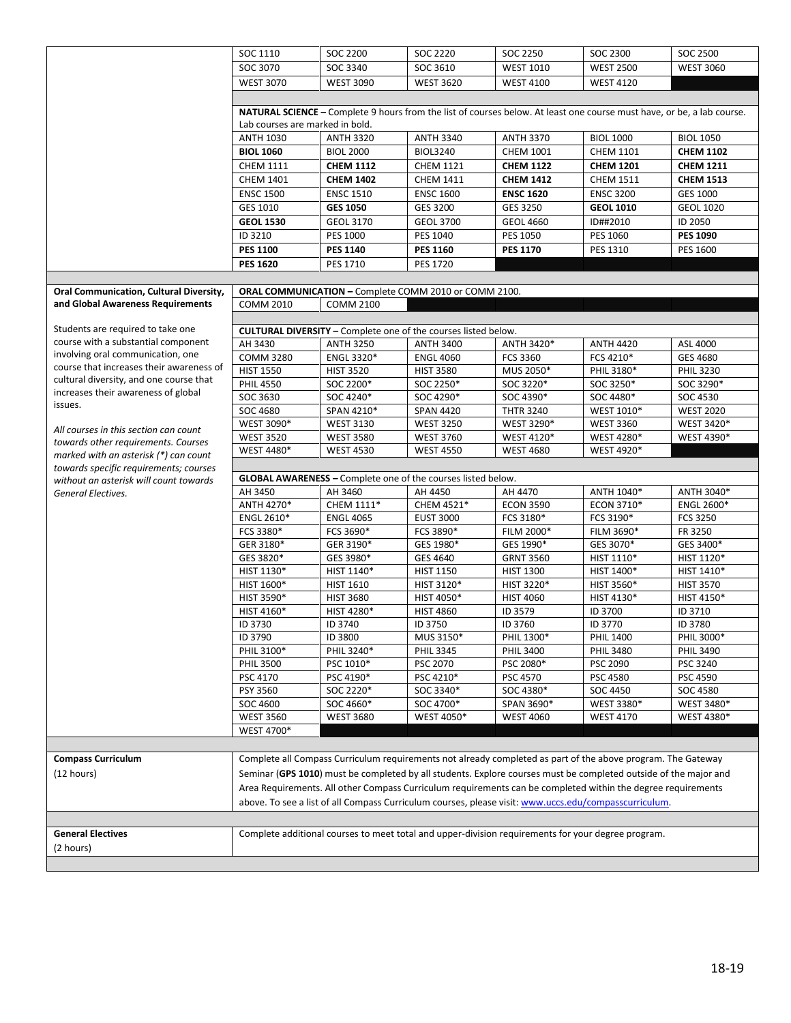|                                                                                 | SOC 1110                                                                                                                                                                                                              | SOC 2200                                                                                                               | SOC 2220                                                              | SOC 2250                                                                                                         | SOC 2300         | SOC 2500          |  |  |  |  |  |
|---------------------------------------------------------------------------------|-----------------------------------------------------------------------------------------------------------------------------------------------------------------------------------------------------------------------|------------------------------------------------------------------------------------------------------------------------|-----------------------------------------------------------------------|------------------------------------------------------------------------------------------------------------------|------------------|-------------------|--|--|--|--|--|
|                                                                                 | SOC 3070                                                                                                                                                                                                              | SOC 3340                                                                                                               | SOC 3610                                                              | <b>WEST 1010</b>                                                                                                 | <b>WEST 2500</b> | <b>WEST 3060</b>  |  |  |  |  |  |
|                                                                                 | <b>WEST 3070</b>                                                                                                                                                                                                      | <b>WEST 3090</b>                                                                                                       | <b>WEST 3620</b>                                                      | <b>WEST 4100</b>                                                                                                 | <b>WEST 4120</b> |                   |  |  |  |  |  |
|                                                                                 |                                                                                                                                                                                                                       |                                                                                                                        |                                                                       |                                                                                                                  |                  |                   |  |  |  |  |  |
|                                                                                 |                                                                                                                                                                                                                       | NATURAL SCIENCE - Complete 9 hours from the list of courses below. At least one course must have, or be, a lab course. |                                                                       |                                                                                                                  |                  |                   |  |  |  |  |  |
|                                                                                 | Lab courses are marked in bold.                                                                                                                                                                                       |                                                                                                                        |                                                                       |                                                                                                                  |                  |                   |  |  |  |  |  |
|                                                                                 | <b>ANTH 1030</b>                                                                                                                                                                                                      | <b>ANTH 3320</b>                                                                                                       | <b>ANTH 3340</b>                                                      | <b>ANTH 3370</b>                                                                                                 | <b>BIOL 1000</b> | <b>BIOL 1050</b>  |  |  |  |  |  |
|                                                                                 | <b>BIOL 1060</b>                                                                                                                                                                                                      | <b>BIOL 2000</b>                                                                                                       | <b>BIOL3240</b>                                                       | CHEM 1001                                                                                                        | <b>CHEM 1101</b> | <b>CHEM 1102</b>  |  |  |  |  |  |
|                                                                                 | <b>CHEM 1111</b>                                                                                                                                                                                                      | <b>CHEM 1112</b>                                                                                                       | <b>CHEM 1121</b>                                                      | <b>CHEM 1122</b>                                                                                                 | <b>CHEM 1201</b> | <b>CHEM 1211</b>  |  |  |  |  |  |
|                                                                                 | <b>CHEM 1401</b>                                                                                                                                                                                                      | <b>CHEM 1402</b>                                                                                                       | <b>CHEM 1411</b>                                                      | <b>CHEM 1412</b>                                                                                                 | <b>CHEM 1511</b> | <b>CHEM 1513</b>  |  |  |  |  |  |
|                                                                                 | <b>ENSC 1500</b>                                                                                                                                                                                                      | <b>ENSC 1510</b>                                                                                                       | <b>ENSC 1600</b>                                                      | <b>ENSC 1620</b>                                                                                                 | <b>ENSC 3200</b> | GES 1000          |  |  |  |  |  |
|                                                                                 | GES 1010                                                                                                                                                                                                              | <b>GES 1050</b>                                                                                                        | GES 3200                                                              | GES 3250                                                                                                         | <b>GEOL 1010</b> | <b>GEOL 1020</b>  |  |  |  |  |  |
|                                                                                 | <b>GEOL 1530</b>                                                                                                                                                                                                      | GEOL 3170                                                                                                              | <b>GEOL 3700</b>                                                      | <b>GEOL 4660</b>                                                                                                 | ID##2010         | ID 2050           |  |  |  |  |  |
|                                                                                 | ID 3210                                                                                                                                                                                                               | PES 1000                                                                                                               | PES 1040                                                              | PES 1050                                                                                                         | PES 1060         | <b>PES 1090</b>   |  |  |  |  |  |
|                                                                                 | <b>PES 1100</b>                                                                                                                                                                                                       | <b>PES 1140</b>                                                                                                        | <b>PES 1160</b>                                                       | <b>PES 1170</b>                                                                                                  | PES 1310         | PES 1600          |  |  |  |  |  |
|                                                                                 | <b>PES 1620</b>                                                                                                                                                                                                       | PES 1710                                                                                                               | <b>PES 1720</b>                                                       |                                                                                                                  |                  |                   |  |  |  |  |  |
|                                                                                 |                                                                                                                                                                                                                       |                                                                                                                        |                                                                       |                                                                                                                  |                  |                   |  |  |  |  |  |
| Oral Communication, Cultural Diversity,                                         |                                                                                                                                                                                                                       |                                                                                                                        | ORAL COMMUNICATION - Complete COMM 2010 or COMM 2100.                 |                                                                                                                  |                  |                   |  |  |  |  |  |
| and Global Awareness Requirements                                               | <b>COMM 2010</b>                                                                                                                                                                                                      | <b>COMM 2100</b>                                                                                                       |                                                                       |                                                                                                                  |                  |                   |  |  |  |  |  |
|                                                                                 |                                                                                                                                                                                                                       |                                                                                                                        |                                                                       |                                                                                                                  |                  |                   |  |  |  |  |  |
| Students are required to take one                                               |                                                                                                                                                                                                                       |                                                                                                                        | <b>CULTURAL DIVERSITY</b> - Complete one of the courses listed below. |                                                                                                                  |                  |                   |  |  |  |  |  |
| course with a substantial component                                             | AH 3430                                                                                                                                                                                                               | <b>ANTH 3250</b>                                                                                                       | <b>ANTH 3400</b>                                                      | ANTH 3420*                                                                                                       | <b>ANTH 4420</b> | ASL 4000          |  |  |  |  |  |
| involving oral communication, one                                               | <b>COMM 3280</b>                                                                                                                                                                                                      | ENGL 3320*                                                                                                             | <b>ENGL 4060</b>                                                      | FCS 3360                                                                                                         | FCS 4210*        | GES 4680          |  |  |  |  |  |
| course that increases their awareness of                                        | <b>HIST 1550</b>                                                                                                                                                                                                      | <b>HIST 3520</b>                                                                                                       | <b>HIST 3580</b>                                                      | MUS 2050*                                                                                                        | PHIL 3180*       | <b>PHIL 3230</b>  |  |  |  |  |  |
| cultural diversity, and one course that                                         | <b>PHIL 4550</b>                                                                                                                                                                                                      | SOC 2200*                                                                                                              | SOC 2250*                                                             | SOC 3220*                                                                                                        | SOC 3250*        | SOC 3290*         |  |  |  |  |  |
| increases their awareness of global                                             | SOC 3630                                                                                                                                                                                                              | SOC 4240*                                                                                                              | SOC 4290*                                                             | SOC 4390*                                                                                                        | SOC 4480*        | SOC 4530          |  |  |  |  |  |
| issues.                                                                         | SOC 4680                                                                                                                                                                                                              | SPAN 4210*                                                                                                             | <b>SPAN 4420</b>                                                      | <b>THTR 3240</b>                                                                                                 | WEST 1010*       | <b>WEST 2020</b>  |  |  |  |  |  |
|                                                                                 | WEST 3090*                                                                                                                                                                                                            | <b>WEST 3130</b>                                                                                                       | <b>WEST 3250</b>                                                      | WEST 3290*                                                                                                       | <b>WEST 3360</b> | WEST 3420*        |  |  |  |  |  |
| All courses in this section can count                                           | <b>WEST 3520</b>                                                                                                                                                                                                      | <b>WEST 3580</b>                                                                                                       | <b>WEST 3760</b>                                                      | WEST 4120*                                                                                                       | WEST 4280*       | WEST 4390*        |  |  |  |  |  |
| towards other requirements. Courses                                             | WEST 4480*                                                                                                                                                                                                            | <b>WEST 4530</b>                                                                                                       | <b>WEST 4550</b>                                                      | <b>WEST 4680</b>                                                                                                 | WEST 4920*       |                   |  |  |  |  |  |
| marked with an asterisk (*) can count<br>towards specific requirements; courses |                                                                                                                                                                                                                       |                                                                                                                        |                                                                       |                                                                                                                  |                  |                   |  |  |  |  |  |
| without an asterisk will count towards                                          | <b>GLOBAL AWARENESS</b> - Complete one of the courses listed below.                                                                                                                                                   |                                                                                                                        |                                                                       |                                                                                                                  |                  |                   |  |  |  |  |  |
| General Electives.                                                              | AH 3450                                                                                                                                                                                                               | AH 3460                                                                                                                | AH 4450                                                               | AH 4470                                                                                                          | ANTH 1040*       | ANTH 3040*        |  |  |  |  |  |
|                                                                                 | ANTH 4270*                                                                                                                                                                                                            | CHEM 1111*                                                                                                             | CHEM 4521*                                                            | <b>ECON 3590</b>                                                                                                 | ECON 3710*       | <b>ENGL 2600*</b> |  |  |  |  |  |
|                                                                                 | ENGL 2610*                                                                                                                                                                                                            | <b>ENGL 4065</b>                                                                                                       | <b>EUST 3000</b>                                                      | FCS 3180*                                                                                                        | FCS 3190*        | FCS 3250          |  |  |  |  |  |
|                                                                                 | FCS 3380*                                                                                                                                                                                                             | FCS 3690*                                                                                                              | FCS 3890*                                                             | FILM 2000*                                                                                                       | FILM 3690*       | FR 3250           |  |  |  |  |  |
|                                                                                 | GER 3180*                                                                                                                                                                                                             | GER 3190*                                                                                                              | GES 1980*                                                             | GES 1990*                                                                                                        | GES 3070*        | GES 3400*         |  |  |  |  |  |
|                                                                                 | GES 3820*                                                                                                                                                                                                             | GES 3980*                                                                                                              | GES 4640                                                              | <b>GRNT 3560</b>                                                                                                 | HIST 1110*       | HIST 1120*        |  |  |  |  |  |
|                                                                                 | HIST 1130*                                                                                                                                                                                                            | HIST 1140*                                                                                                             | <b>HIST 1150</b>                                                      | <b>HIST 1300</b>                                                                                                 | HIST 1400*       | HIST 1410*        |  |  |  |  |  |
|                                                                                 | HIST 1600*                                                                                                                                                                                                            | <b>HIST 1610</b>                                                                                                       | HIST 3120*                                                            | HIST 3220*                                                                                                       | HIST 3560*       | <b>HIST 3570</b>  |  |  |  |  |  |
|                                                                                 | HIST 3590*                                                                                                                                                                                                            | <b>HIST 3680</b>                                                                                                       | HIST 4050*                                                            | <b>HIST 4060</b>                                                                                                 | HIST 4130*       | HIST 4150*        |  |  |  |  |  |
|                                                                                 | HIST 4160*                                                                                                                                                                                                            | HIST 4280*                                                                                                             | <b>HIST 4860</b>                                                      | ID 3579                                                                                                          | ID 3700          | ID 3710           |  |  |  |  |  |
|                                                                                 | ID 3730                                                                                                                                                                                                               | ID 3740                                                                                                                | ID 3750                                                               | ID 3760                                                                                                          | ID 3770          | ID 3780           |  |  |  |  |  |
|                                                                                 | ID 3790                                                                                                                                                                                                               | ID 3800                                                                                                                | MUS 3150*                                                             | PHIL 1300*                                                                                                       | <b>PHIL 1400</b> | PHIL 3000*        |  |  |  |  |  |
|                                                                                 | PHIL 3100*                                                                                                                                                                                                            | PHIL 3240*                                                                                                             | <b>PHIL 3345</b>                                                      | <b>PHIL 3400</b>                                                                                                 | <b>PHIL 3480</b> | <b>PHIL 3490</b>  |  |  |  |  |  |
|                                                                                 | <b>PHIL 3500</b>                                                                                                                                                                                                      | PSC 1010*                                                                                                              | PSC 2070                                                              | PSC 2080*                                                                                                        | PSC 2090         | PSC 3240          |  |  |  |  |  |
|                                                                                 | PSC 4170                                                                                                                                                                                                              | PSC 4190*                                                                                                              | PSC 4210*                                                             | <b>PSC 4570</b>                                                                                                  | PSC 4580         | PSC 4590          |  |  |  |  |  |
|                                                                                 | PSY 3560                                                                                                                                                                                                              | SOC 2220*                                                                                                              | SOC 3340*                                                             | SOC 4380*                                                                                                        | SOC 4450         | SOC 4580          |  |  |  |  |  |
|                                                                                 | SOC 4600                                                                                                                                                                                                              | SOC 4660*                                                                                                              | SOC 4700*                                                             | SPAN 3690*                                                                                                       | WEST 3380*       | WEST 3480*        |  |  |  |  |  |
|                                                                                 | <b>WEST 3560</b>                                                                                                                                                                                                      | <b>WEST 3680</b>                                                                                                       | WEST 4050*                                                            | <b>WEST 4060</b>                                                                                                 | <b>WEST 4170</b> | WEST 4380*        |  |  |  |  |  |
|                                                                                 | WEST 4700*                                                                                                                                                                                                            |                                                                                                                        |                                                                       |                                                                                                                  |                  |                   |  |  |  |  |  |
|                                                                                 |                                                                                                                                                                                                                       |                                                                                                                        |                                                                       |                                                                                                                  |                  |                   |  |  |  |  |  |
| <b>Compass Curriculum</b>                                                       |                                                                                                                                                                                                                       |                                                                                                                        |                                                                       | Complete all Compass Curriculum requirements not already completed as part of the above program. The Gateway     |                  |                   |  |  |  |  |  |
| (12 hours)                                                                      |                                                                                                                                                                                                                       |                                                                                                                        |                                                                       | Seminar (GPS 1010) must be completed by all students. Explore courses must be completed outside of the major and |                  |                   |  |  |  |  |  |
|                                                                                 |                                                                                                                                                                                                                       |                                                                                                                        |                                                                       |                                                                                                                  |                  |                   |  |  |  |  |  |
|                                                                                 | Area Requirements. All other Compass Curriculum requirements can be completed within the degree requirements<br>above. To see a list of all Compass Curriculum courses, please visit: www.uccs.edu/compasscurriculum. |                                                                                                                        |                                                                       |                                                                                                                  |                  |                   |  |  |  |  |  |
|                                                                                 |                                                                                                                                                                                                                       |                                                                                                                        |                                                                       |                                                                                                                  |                  |                   |  |  |  |  |  |
|                                                                                 |                                                                                                                                                                                                                       |                                                                                                                        |                                                                       |                                                                                                                  |                  |                   |  |  |  |  |  |
|                                                                                 |                                                                                                                                                                                                                       |                                                                                                                        |                                                                       |                                                                                                                  |                  |                   |  |  |  |  |  |
| <b>General Electives</b><br>(2 hours)                                           |                                                                                                                                                                                                                       |                                                                                                                        |                                                                       | Complete additional courses to meet total and upper-division requirements for your degree program.               |                  |                   |  |  |  |  |  |